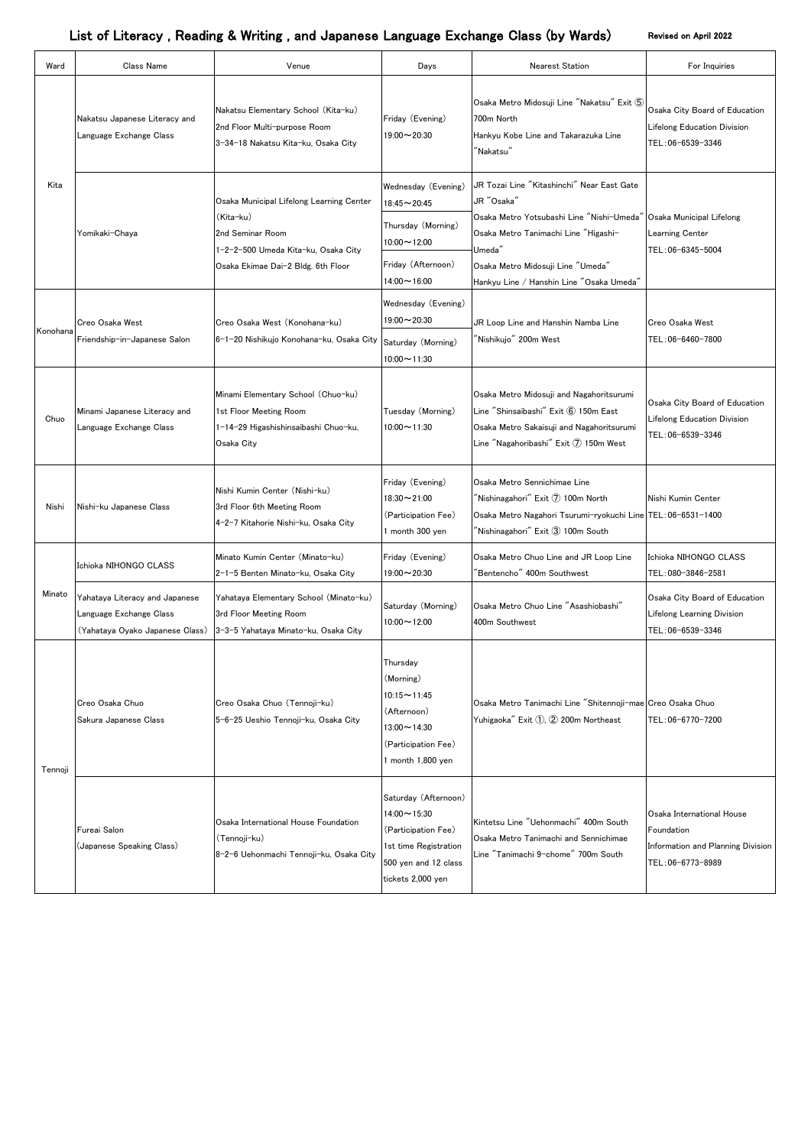| Ward     | Class Name                                                                                   | Venue                                                                                                                                                  | Days                                                                                                                                    | <b>Nearest Station</b>                                                                                                                                                                                                                   | For Inquiries                                                                                     |
|----------|----------------------------------------------------------------------------------------------|--------------------------------------------------------------------------------------------------------------------------------------------------------|-----------------------------------------------------------------------------------------------------------------------------------------|------------------------------------------------------------------------------------------------------------------------------------------------------------------------------------------------------------------------------------------|---------------------------------------------------------------------------------------------------|
| Kita     | Nakatsu Japanese Literacy and<br>Language Exchange Class                                     | Nakatsu Elementary School (Kita-ku)<br>2nd Floor Multi-purpose Room<br>3-34-18 Nakatsu Kita-ku, Osaka City                                             | Friday (Evening)<br>$19:00 \sim 20:30$                                                                                                  | Osaka Metro Midosuji Line "Nakatsu" Exit 5<br>700m North<br>Hankyu Kobe Line and Takarazuka Line<br>$\lq$ Nakatsu $\lq$                                                                                                                  | Osaka City Board of Education<br><b>Lifelong Education Division</b><br>TEL: 06-6539-3346          |
|          | Yomikaki-Chaya                                                                               | Osaka Municipal Lifelong Learning Center<br>(Kita-ku)<br>2nd Seminar Room<br>1-2-2-500 Umeda Kita-ku, Osaka City<br>Osaka Ekimae Dai-2 Bldg. 6th Floor | Wednesday (Evening)<br>$18:45 \sim 20:45$<br>Thursday (Morning)<br>$10:00 \sim 12:00$<br>Friday (Afternoon)<br>$14:00 \sim 16:00$       | JR Tozai Line "Kitashinchi" Near East Gate<br>JR "Osaka"<br>Osaka Metro Yotsubashi Line "Nishi-Umeda"<br>Osaka Metro Tanimachi Line "Higashi-<br>Umeda"<br>Osaka Metro Midosuji Line "Umeda"<br>Hankyu Line / Hanshin Line "Osaka Umeda" | Osaka Municipal Lifelong<br>Learning Center<br>TEL: 06-6345-5004                                  |
| Konohana | <b>Creo Osaka West</b><br>Friendship-in-Japanese Salon                                       | Creo Osaka West (Konohana-ku)<br>6-1-20 Nishikujo Konohana-ku, Osaka City                                                                              | Wednesday (Evening)<br>$19:00 \sim 20:30$<br>Saturday (Morning)<br>$10:00 \sim 11:30$                                                   | JR Loop Line and Hanshin Namba Line<br>'Nishikujo'' 200m West                                                                                                                                                                            | <b>Creo Osaka West</b><br>TEL:06-6460-7800                                                        |
| Chuo     | Minami Japanese Literacy and<br>Language Exchange Class                                      | Minami Elementary School (Chuo-ku)<br>1st Floor Meeting Room<br>1-14-29 Higashishinsaibashi Chuo-ku,<br>Osaka City                                     | Tuesday (Morning)<br>$10:00 \sim 11:30$                                                                                                 | Osaka Metro Midosuji and Nagahoritsurumi<br>Line "Shinsaibashi" Exit 6 150m East<br>Osaka Metro Sakaisuji and Nagahoritsurumi<br>Line "Nagahoribashi" Exit 7 150m West                                                                   | Osaka City Board of Education<br>Lifelong Education Division<br>TEL:06-6539-3346                  |
| Nishi    | Nishi-ku Japanese Class                                                                      | Nishi Kumin Center (Nishi-ku)<br>3rd Floor 6th Meeting Room<br>4-2-7 Kitahorie Nishi-ku, Osaka City                                                    | Friday (Evening)<br>18:30~21:00<br>(Participation Fee)<br>1 month 300 yen                                                               | Osaka Metro Sennichimae Line<br>$\tilde{}$ Nishinagahori $\tilde{}$ Exit $\bar{O}$ 100m North<br>Osaka Metro Nagahori Tsurumi-ryokuchi Line TEL:06-6531-1400<br>$\tilde{}$ Nishinagahori $\tilde{}$ Exit $\tilde{}3$ 100m South          | Nishi Kumin Center                                                                                |
| Minato   | Ichioka NIHONGO CLASS                                                                        | Minato Kumin Center (Minato-ku)<br>2-1-5 Benten Minato-ku, Osaka City                                                                                  | Friday (Evening)<br>$19:00 \sim 20:30$                                                                                                  | Osaka Metro Chuo Line and JR Loop Line<br>Bentencho" 400m Southwest                                                                                                                                                                      | Ichioka NIHONGO CLASS<br>TEL: 080-3846-2581                                                       |
|          | Yahataya Literacy and Japanese<br>Language Exchange Class<br>(Yahataya Oyako Japanese Class) | Yahataya Elementary School (Minato-ku)<br>3rd Floor Meeting Room<br>3-3-5 Yahataya Minato-ku, Osaka City                                               | Saturday (Morning)<br>$10:00 \sim 12:00$                                                                                                | Osaka Metro Chuo Line "Asashiobashi"<br>400m Southwest                                                                                                                                                                                   | Osaka City Board of Education<br><b>Lifelong Learning Division</b><br>TEL:06-6539-3346            |
| Tennoji  | Creo Osaka Chuo<br>Sakura Japanese Class                                                     | Creo Osaka Chuo (Tennoji-ku)<br>5-6-25 Ueshio Tennoji-ku, Osaka City                                                                                   | Thursday<br>(Morning)<br>$10:15 - 11:45$<br>(Afternoon)<br>$13:00 \sim 14:30$<br>(Participation Fee)<br>1 month 1,800 yen               | Osaka Metro Tanimachi Line "Shitennoji-mae Creo Osaka Chuo<br>Yuhigaoka" Exit 1, 2 200m Northeast                                                                                                                                        | TEL:06-6770-7200                                                                                  |
|          | Fureai Salon<br>(Japanese Speaking Class)                                                    | Osaka International House Foundation<br>(Tennoji-ku)<br>8-2-6 Uehonmachi Tennoji-ku, Osaka City                                                        | Saturday (Afternoon)<br>$14:00 \sim 15:30$<br>(Participation Fee)<br>1st time Registration<br>500 yen and 12 class<br>tickets 2,000 yen | Kintetsu Line "Uehonmachi" 400m South<br>Osaka Metro Tanimachi and Sennichimae<br>Line "Tanimachi 9-chome" 700m South                                                                                                                    | Osaka International House<br>Foundation<br>Information and Planning Division<br>TEL: 06-6773-8989 |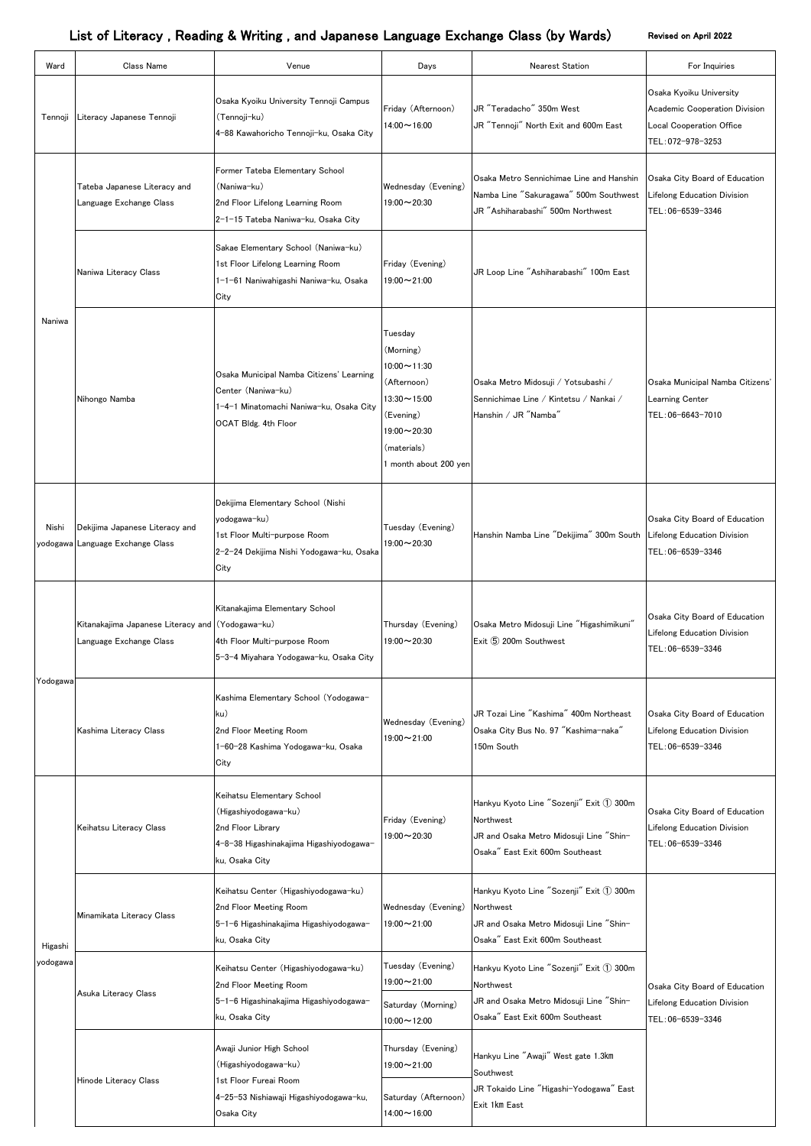| Ward                | <b>Class Name</b>                                                           | Venue                                                                                                                                 | Days                                                                                                                                                     | <b>Nearest Station</b>                                                                                                             | For Inquiries                                                                                             |
|---------------------|-----------------------------------------------------------------------------|---------------------------------------------------------------------------------------------------------------------------------------|----------------------------------------------------------------------------------------------------------------------------------------------------------|------------------------------------------------------------------------------------------------------------------------------------|-----------------------------------------------------------------------------------------------------------|
| Tennoji             | Literacy Japanese Tennoji                                                   | Osaka Kyoiku University Tennoji Campus<br>(Tennoji-ku)<br>4-88 Kawahoricho Tennoji-ku, Osaka City                                     | Friday (Afternoon)<br>$14:00 \sim 16:00$                                                                                                                 | JR "Teradacho" 350m West<br>JR "Tennoji" North Exit and 600m East                                                                  | Osaka Kyoiku University<br>Academic Cooperation Division<br>Local Cooperation Office<br>TEL: 072-978-3253 |
|                     | Tateba Japanese Literacy and<br>Language Exchange Class                     | Former Tateba Elementary School<br>(Naniwa-ku)<br>2nd Floor Lifelong Learning Room<br>2-1-15 Tateba Naniwa-ku, Osaka City             | Wednesday (Evening)<br>$19:00 \sim 20:30$                                                                                                                | Osaka Metro Sennichimae Line and Hanshin<br>Namba Line "Sakuragawa" 500m Southwest<br>JR "Ashiharabashi" 500m Northwest            | Osaka City Board of Education<br>Lifelong Education Division<br>TEL: 06-6539-3346                         |
|                     | Naniwa Literacy Class                                                       | Sakae Elementary School (Naniwa-ku)<br>1st Floor Lifelong Learning Room<br>1-1-61 Naniwahigashi Naniwa-ku, Osaka<br>City              | Friday (Evening)<br>19:00~21:00                                                                                                                          | JR Loop Line "Ashiharabashi" 100m East                                                                                             |                                                                                                           |
| Naniwa              | Nihongo Namba                                                               | Osaka Municipal Namba Citizens' Learning<br>Center (Naniwa-ku)<br>1-4-1 Minatomachi Naniwa-ku, Osaka City<br>OCAT Bldg. 4th Floor     | Tuesday<br>(Morning)<br>$10:00 \sim 11:30$<br>(Afternoon)<br>$13:30 \sim 15:00$<br>(Evening)<br>$19:00 \sim 20:30$<br>(materials)<br>month about 200 yen | Osaka Metro Midosuji / Yotsubashi /<br>Sennichimae Line / Kintetsu / Nankai /<br>Hanshin / JR "Namba"                              | Osaka Municipal Namba Citizens'<br>Learning Center<br>TEL: 06-6643-7010                                   |
| Nishi               | Dekijima Japanese Literacy and<br>yodogawa Language Exchange Class          | Dekijima Elementary School (Nishi<br>yodogawa-ku)<br>1st Floor Multi-purpose Room<br>2-2-24 Dekijima Nishi Yodogawa-ku, Osaka<br>City | Tuesday (Evening)<br>$19:00 \sim 20:30$                                                                                                                  | Hanshin Namba Line "Dekijima" 300m South                                                                                           | Osaka City Board of Education<br>Lifelong Education Division<br>TEL:06-6539-3346                          |
| Yodogawa            | Kitanakajima Japanese Literacy and (Yodogawa-ku)<br>Language Exchange Class | Kitanakajima Elementary School<br>4th Floor Multi-purpose Room<br>5-3-4 Miyahara Yodogawa-ku, Osaka City                              | Thursday (Evening)<br>$19:00 \sim 20:30$                                                                                                                 | Osaka Metro Midosuji Line "Higashimikuni"<br>Exit 5 200m Southwest                                                                 | Osaka City Board of Education<br>Lifelong Education Division<br>TEL:06-6539-3346                          |
|                     | Kashima Literacy Class                                                      | Kashima Elementary School (Yodogawa-<br>ku)<br>2nd Floor Meeting Room<br>1-60-28 Kashima Yodogawa-ku, Osaka<br>City                   | Wednesday (Evening)<br>$19:00 \sim 21:00$                                                                                                                | JR Tozai Line "Kashima" 400m Northeast<br>Osaka City Bus No. 97 "Kashima-naka"<br>150m South                                       | Osaka City Board of Education<br>Lifelong Education Division<br>TEL: 06-6539-3346                         |
| Higashi<br>yodogawa | Keihatsu Literacy Class                                                     | Keihatsu Elementary School<br>(Higashiyodogawa-ku)<br>2nd Floor Library<br>4-8-38 Higashinakajima Higashiyodogawa-<br>ku, Osaka City  | Friday (Evening)<br>$19:00 \sim 20:30$                                                                                                                   | Hankyu Kyoto Line "Sozenji" Exit 1 300m<br>Northwest<br>JR and Osaka Metro Midosuji Line "Shin-<br>Osaka" East Exit 600m Southeast | Osaka City Board of Education<br>Lifelong Education Division<br>TEL: 06-6539-3346                         |
|                     | Minamikata Literacy Class                                                   | Keihatsu Center (Higashiyodogawa-ku)<br>2nd Floor Meeting Room<br>5-1-6 Higashinakajima Higashiyodogawa-<br>ku, Osaka City            | Wednesday (Evening)<br>$19:00 \sim 21:00$                                                                                                                | Hankyu Kyoto Line "Sozenji" Exit 1 300m<br>Northwest<br>JR and Osaka Metro Midosuji Line "Shin-<br>Osaka" East Exit 600m Southeast |                                                                                                           |
|                     | Asuka Literacy Class                                                        | Keihatsu Center (Higashiyodogawa-ku)<br>2nd Floor Meeting Room<br>5-1-6 Higashinakajima Higashiyodogawa-<br>ku, Osaka City            | Tuesday (Evening)<br>$19:00 \sim 21:00$<br>Saturday (Morning)<br>$10:00 \sim 12:00$                                                                      | Hankyu Kyoto Line "Sozenji" Exit 1 300m<br>Northwest<br>JR and Osaka Metro Midosuji Line "Shin-<br>Osaka" East Exit 600m Southeast | Osaka City Board of Education<br>Lifelong Education Division<br>TEL:06-6539-3346                          |
|                     | <b>Hinode Literacy Class</b>                                                | Awaji Junior High School<br>(Higashiyodogawa-ku)<br>1st Floor Fureai Room                                                             | Thursday (Evening)<br>$19:00 \sim 21:00$                                                                                                                 | Hankyu Line "Awaji" West gate 1.3km<br>Southwest<br>JR Tokaido Line "Higashi-Yodogawa" East                                        |                                                                                                           |
|                     |                                                                             | 4-25-53 Nishiawaji Higashiyodogawa-ku,<br>Osaka City                                                                                  | Saturday (Afternoon)<br>$14:00 \sim 16:00$                                                                                                               | Exit 1km East                                                                                                                      |                                                                                                           |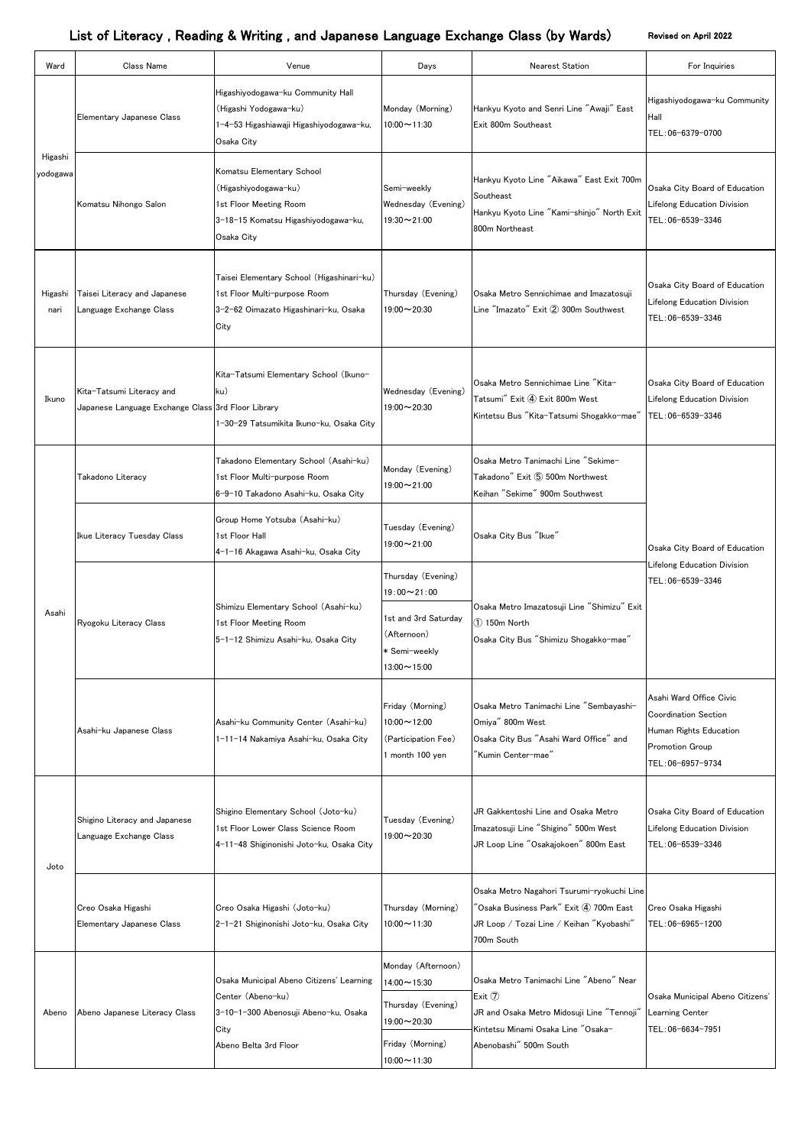| Ward                | Class Name                                                                      | Venue                                                                                                                                  | Days                                                                                                                   | <b>Nearest Station</b>                                                                                                                                                                                          | For Inquiries                                                                                                           |
|---------------------|---------------------------------------------------------------------------------|----------------------------------------------------------------------------------------------------------------------------------------|------------------------------------------------------------------------------------------------------------------------|-----------------------------------------------------------------------------------------------------------------------------------------------------------------------------------------------------------------|-------------------------------------------------------------------------------------------------------------------------|
| Higashi<br>yodogawa | Elementary Japanese Class                                                       | Higashiyodogawa-ku Community Hall<br>(Higashi Yodogawa-ku)<br>1−4−53 Higashiawaji Higashiyodogawa−ku,<br>Osaka City                    | Monday (Morning)<br>$10:00 \sim 11:30$                                                                                 | Hankyu Kyoto and Senri Line "Awaji" East<br>Exit 800m Southeast                                                                                                                                                 | Higashiyodogawa-ku Community<br>Hall<br>TEL:06-6379-0700                                                                |
|                     | Komatsu Nihongo Salon                                                           | Komatsu Elementary School<br>(Higashiyodogawa-ku)<br>1st Floor Meeting Room<br>3-18-15 Komatsu Higashiyodogawa-ku,<br>Osaka City       | Semi-weekly<br>Wednesday (Evening)<br>$19:30 \sim 21:00$                                                               | Hankyu Kyoto Line "Aikawa" East Exit 700m<br>Southeast<br>Hankyu Kyoto Line "Kami-shinjo" North Exit<br>800m Northeast                                                                                          | Osaka City Board of Education<br>Lifelong Education Division<br>TEL:06-6539-3346                                        |
| Higashi<br>nari     | Taisei Literacy and Japanese<br>Language Exchange Class                         | Taisei Elementary School (Higashinari-ku)<br>1st Floor Multi-purpose Room<br>3-2-62 Oimazato Higashinari-ku, Osaka<br>City             | Thursday (Evening)<br>$19:00 \sim 20:30$                                                                               | Osaka Metro Sennichimae and Imazatosuji<br>Line "Imazato" Exit 2 300m Southwest                                                                                                                                 | Osaka City Board of Education<br>Lifelong Education Division<br>TEL:06-6539-3346                                        |
| Ikuno               | Kita-Tatsumi Literacy and<br>Japanese Language Exchange Class 3rd Floor Library | Kita-Tatsumi Elementary School (Ikuno-<br>ku)<br>1-30-29 Tatsumikita Ikuno-ku, Osaka City                                              | Wednesday (Evening)<br>$19:00 \sim 20:30$                                                                              | Osaka Metro Sennichimae Line "Kita-<br>Tatsumi" Exit 4 Exit 800m West<br>Kintetsu Bus "Kita-Tatsumi Shogakko-mae"                                                                                               | Osaka City Board of Education<br>Lifelong Education Division<br>TEL: 06-6539-3346                                       |
|                     | Takadono Literacy                                                               | Takadono Elementary School (Asahi-ku)<br>1st Floor Multi-purpose Room<br>6-9-10 Takadono Asahi-ku, Osaka City                          | Monday (Evening)<br>$19:00 \sim 21:00$                                                                                 | Osaka Metro Tanimachi Line "Sekime-<br>Takadono" Exit 5 500m Northwest<br>Keihan "Sekime" 900m Southwest                                                                                                        | Osaka City Board of Education<br>Lifelong Education Division<br>TEL:06-6539-3346                                        |
|                     | Ikue Literacy Tuesday Class                                                     | Group Home Yotsuba (Asahi-ku)<br>1st Floor Hall<br>4-1-16 Akagawa Asahi-ku, Osaka City                                                 | Tuesday (Evening)<br>$19:00 \sim 21:00$                                                                                | Osaka City Bus "Ikue"                                                                                                                                                                                           |                                                                                                                         |
| Asahi               | Ryogoku Literacy Class                                                          | Shimizu Elementary School (Asahi-ku)<br>1st Floor Meeting Room<br>5-1-12 Shimizu Asahi-ku, Osaka City                                  | Thursday (Evening)<br>$19:00 \sim 21:00$<br>1st and 3rd Saturday<br>(Afternoon)<br>* Semi-weekly<br>$13:00 \sim 15:00$ | Osaka Metro Imazatosuji Line "Shimizu" Exit<br>$(1)$ 150m North<br>Osaka City Bus "Shimizu Shogakko-mae"                                                                                                        |                                                                                                                         |
|                     | Asahi-ku Japanese Class                                                         | Asahi-ku Community Center (Asahi-ku)<br>1-11-14 Nakamiya Asahi-ku, Osaka City                                                          | Friday (Morning)<br>$10:00 \sim 12:00$<br>(Participation Fee)<br>1 month 100 yen                                       | Osaka Metro Tanimachi Line "Sembayashi-<br>Omiya" 800m West<br>Osaka City Bus "Asahi Ward Office" and<br>"Kumin Center-mae"                                                                                     | Asahi Ward Office Civic<br><b>Coordination Section</b><br>Human Rights Education<br>Promotion Group<br>TEL:06-6957-9734 |
| Joto                | Shigino Literacy and Japanese<br>Language Exchange Class                        | Shigino Elementary School (Joto-ku)<br>1st Floor Lower Class Science Room<br>4-11-48 Shiginonishi Joto-ku, Osaka City                  | Tuesday (Evening)<br>$19:00 \sim 20:30$                                                                                | JR Gakkentoshi Line and Osaka Metro<br>Imazatosuji Line "Shigino" 500m West<br>JR Loop Line "Osakajokoen" 800m East                                                                                             | Osaka City Board of Education<br>Lifelong Education Division<br>TEL:06-6539-3346                                        |
|                     | Creo Osaka Higashi<br>Elementary Japanese Class                                 | Creo Osaka Higashi (Joto-ku)<br>2-1-21 Shiginonishi Joto-ku, Osaka City                                                                | Thursday (Morning)<br>$10:00 \sim 11:30$                                                                               | Osaka Metro Nagahori Tsurumi-ryokuchi Line<br>$\mathrm{^{\prime\prime}}$ Osaka Business Park $\mathrm{^{\prime\prime}}$ Exit $\mathrm{(4)}$ 700m East<br>JR Loop / Tozai Line / Keihan "Kyobashi"<br>700m South | Creo Osaka Higashi<br>TEL:06-6965-1200                                                                                  |
| Abeno               | Abeno Japanese Literacy Class                                                   | Osaka Municipal Abeno Citizens' Learning<br>Center (Abeno-ku)<br>3-10-1-300 Abenosuji Abeno-ku, Osaka<br>City<br>Abeno Belta 3rd Floor | Monday (Afternoon)<br>$14:00 \sim 15:30$                                                                               | Osaka Metro Tanimachi Line "Abeno" Near<br>Exit $\circled{7}$<br>JR and Osaka Metro Midosuji Line "Tennoji"<br>Kintetsu Minami Osaka Line "Osaka-                                                               | Osaka Municipal Abeno Citizens'<br>Learning Center<br>TEL: 06-6634-7951                                                 |
|                     |                                                                                 |                                                                                                                                        | Thursday (Evening)<br>$19:00 \sim 20:30$                                                                               |                                                                                                                                                                                                                 |                                                                                                                         |
|                     |                                                                                 |                                                                                                                                        | Friday (Morning)<br>$10:00 \sim 11:30$                                                                                 | Abenobashi" 500m South                                                                                                                                                                                          |                                                                                                                         |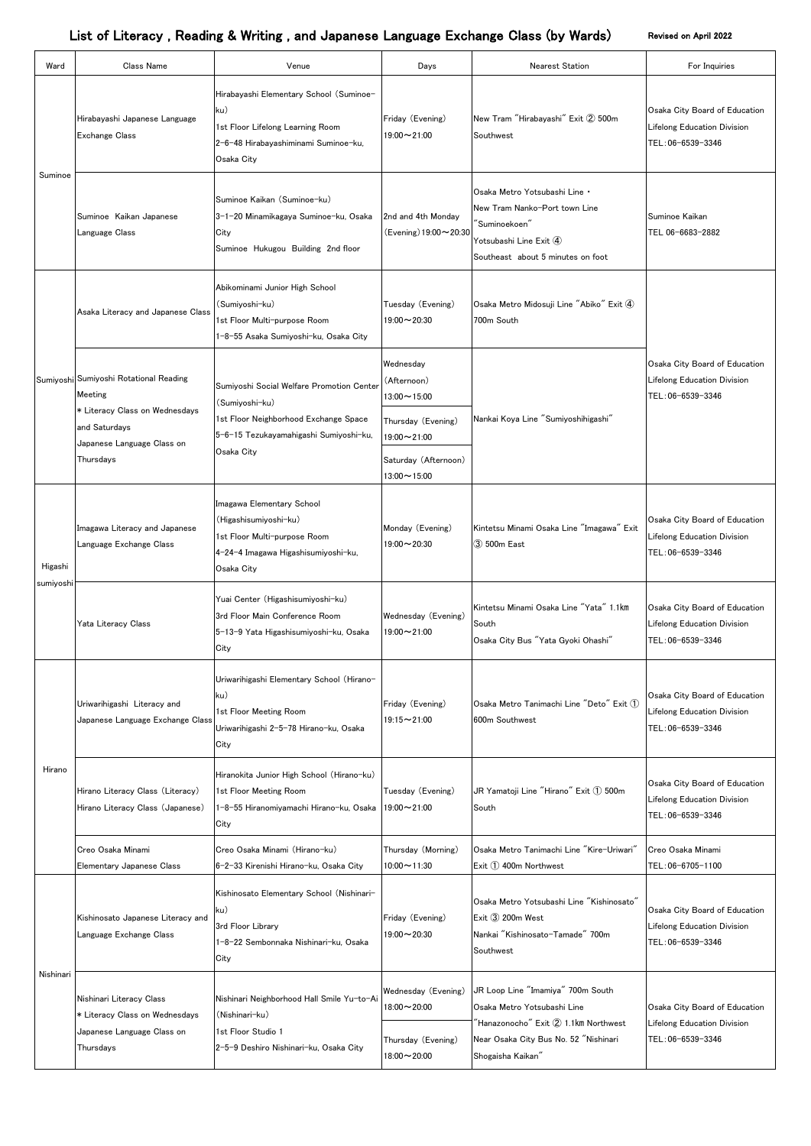| Ward                 | <b>Class Name</b>                                                                                                                               | Venue                                                                                                                                                        | Days                                                                                   | <b>Nearest Station</b>                                                                                                                                                                                  | For Inquiries                                                                     |
|----------------------|-------------------------------------------------------------------------------------------------------------------------------------------------|--------------------------------------------------------------------------------------------------------------------------------------------------------------|----------------------------------------------------------------------------------------|---------------------------------------------------------------------------------------------------------------------------------------------------------------------------------------------------------|-----------------------------------------------------------------------------------|
| Suminoe              | Hirabayashi Japanese Language<br><b>Exchange Class</b>                                                                                          | Hirabayashi Elementary School (Suminoe-<br>ku)<br>1st Floor Lifelong Learning Room<br>2-6-48 Hirabayashiminami Suminoe-ku,<br>Osaka City                     | Friday (Evening)<br>$19:00 \sim 21:00$                                                 | New Tram "Hirabayashi" Exit 2 500m<br>Southwest                                                                                                                                                         | Osaka City Board of Education<br>Lifelong Education Division<br>TEL:06-6539-3346  |
|                      | Suminoe Kaikan Japanese<br>Language Class                                                                                                       | Suminoe Kaikan (Suminoe-ku)<br>3-1-20 Minamikagaya Suminoe-ku, Osaka<br>City<br>Suminoe Hukugou Building 2nd floor                                           | 2nd and 4th Monday<br>(Evening) 19:00~20:30                                            | Osaka Metro Yotsubashi Line .<br>New Tram Nanko-Port town Line<br>"Suminoekoen"<br>Yotsubashi Line Exit $\Phi$<br>Southeast about 5 minutes on foot                                                     | Suminoe Kaikan<br>TEL 06-6683-2882                                                |
|                      | Asaka Literacy and Japanese Class                                                                                                               | Abikominami Junior High School<br>(Sumiyoshi-ku)<br>1st Floor Multi-purpose Room<br>1-8-55 Asaka Sumiyoshi-ku, Osaka City                                    | Tuesday (Evening)<br>$19:00 \sim 20:30$                                                | Osaka Metro Midosuji Line "Abiko" Exit 4<br>700m South                                                                                                                                                  |                                                                                   |
|                      | Sumiyoshi Sumiyoshi Rotational Reading<br>Meeting<br>* Literacy Class on Wednesdays<br>and Saturdays<br>Japanese Language Class on<br>Thursdays | Sumiyoshi Social Welfare Promotion Center<br>(Sumiyoshi-ku)<br>1st Floor Neighborhood Exchange Space<br>5-6-15 Tezukayamahigashi Sumiyoshi-ku,<br>Osaka City | Wednesday<br>(Afternoon)<br>$13:00 \sim 15:00$                                         | Nankai Koya Line "Sumiyoshihigashi"                                                                                                                                                                     | Osaka City Board of Education<br>Lifelong Education Division<br>TEL: 06-6539-3346 |
|                      |                                                                                                                                                 |                                                                                                                                                              | Thursday (Evening)<br>$19:00 \sim 21:00$<br>Saturday (Afternoon)<br>$13:00 \sim 15:00$ |                                                                                                                                                                                                         |                                                                                   |
| Higashi<br>sumiyoshi | Imagawa Literacy and Japanese<br>Language Exchange Class                                                                                        | Imagawa Elementary School<br>(Higashisumiyoshi-ku)<br>1st Floor Multi-purpose Room<br>4-24-4 Imagawa Higashisumiyoshi-ku,<br>Osaka City                      | Monday (Evening)<br>$19:00 \sim 20:30$                                                 | Kintetsu Minami Osaka Line "Imagawa" Exit<br>3 500m East                                                                                                                                                | Osaka City Board of Education<br>Lifelong Education Division<br>TEL:06-6539-3346  |
|                      | Yata Literacy Class                                                                                                                             | Yuai Center (Higashisumiyoshi-ku)<br>3rd Floor Main Conference Room<br>5-13-9 Yata Higashisumiyoshi-ku, Osaka<br>City                                        | Wednesday (Evening)<br>$19:00 \sim 21:00$                                              | Kintetsu Minami Osaka Line "Yata" 1.1km<br>South<br>Osaka City Bus "Yata Gyoki Ohashi"                                                                                                                  | Osaka City Board of Education<br>Lifelong Education Division<br>TEL:06-6539-3346  |
| Hirano               | Uriwarihigashi Literacy and<br>Japanese Language Exchange Class                                                                                 | Uriwarihigashi Elementary School (Hirano-<br>ku)<br>1st Floor Meeting Room<br>Uriwarihigashi 2-5-78 Hirano-ku, Osaka<br>City                                 | Friday (Evening)<br>19:15~21:00                                                        | Osaka Metro Tanimachi Line "Deto" Exit $\textcircled{1}$<br>600m Southwest                                                                                                                              | Osaka City Board of Education<br>Lifelong Education Division<br>TEL:06-6539-3346  |
|                      | Hirano Literacy Class (Literacy)<br>Hirano Literacy Class (Japanese)                                                                            | Hiranokita Junior High School (Hirano-ku)<br>1st Floor Meeting Room<br>1-8-55 Hiranomiyamachi Hirano-ku, Osaka<br>City                                       | Tuesday (Evening)<br>19:00~21:00                                                       | JR Yamatoji Line "Hirano" Exit 1 500m<br>South                                                                                                                                                          | Osaka City Board of Education<br>Lifelong Education Division<br>TEL:06-6539-3346  |
|                      | Creo Osaka Minami<br>Elementary Japanese Class                                                                                                  | Creo Osaka Minami (Hirano-ku)<br>6-2-33 Kirenishi Hirano-ku, Osaka City                                                                                      | Thursday (Morning)<br>$10:00 \sim 11:30$                                               | Osaka Metro Tanimachi Line "Kire-Uriwari"<br>Exit 1 400m Northwest                                                                                                                                      | Creo Osaka Minami<br>TEL: 06-6705-1100                                            |
| Nishinari            | Kishinosato Japanese Literacy and<br>Language Exchange Class                                                                                    | Kishinosato Elementary School (Nishinari-<br>ku)<br>3rd Floor Library<br>1-8-22 Sembonnaka Nishinari-ku, Osaka<br>City                                       | Friday (Evening)<br>$19:00 \sim 20:30$                                                 | Osaka Metro Yotsubashi Line "Kishinosato"<br>Exit 3 200m West<br>Nankai "Kishinosato-Tamade" 700m<br>Southwest                                                                                          | Osaka City Board of Education<br>Lifelong Education Division<br>TEL: 06-6539-3346 |
|                      | Nishinari Literacy Class<br>* Literacy Class on Wednesdays<br>Japanese Language Class on<br>Thursdays                                           | Nishinari Neighborhood Hall Smile Yu-to-Ai<br>(Nishinari-ku)<br>1st Floor Studio 1<br>2-5-9 Deshiro Nishinari-ku, Osaka City                                 | Wednesday (Evening)<br>$18:00 \sim 20:00$<br>Thursday (Evening)<br>$18:00 \sim 20:00$  | JR Loop Line "Imamiya" 700m South<br>Osaka Metro Yotsubashi Line<br>$\check{}$ Hanazonocho $\check{~}$ Exit $\check{2}$ ) 1.1km Northwest<br>Near Osaka City Bus No. 52 "Nishinari<br>Shogaisha Kaikan" | Osaka City Board of Education<br>Lifelong Education Division<br>TEL:06-6539-3346  |